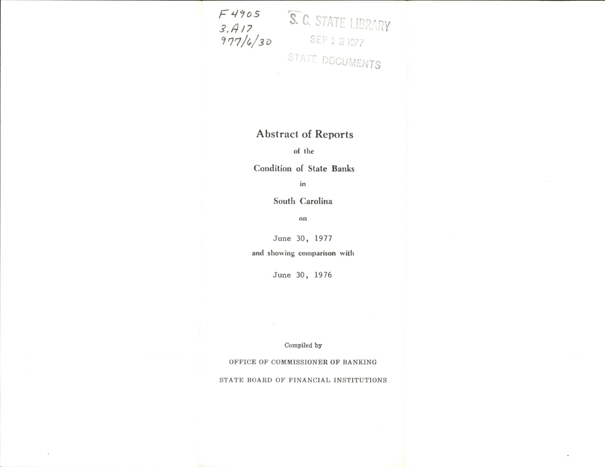$F4905$ <br>  $3.417$ <br>  $377/4/30$ <br>
STATE DOCUMENTS

## **Abstract of Reports**

of the

**Condition of State Banks** 

in

South Carolina

 $\boldsymbol{\mathrm{on}}$ 

June 30, 1977

and showing comparison with

June 30, 1976

Compiled by

OFFICE OF COMMISSIONER OF BANKING

STATE BOARD OF FINANCIAL INSTITUTIONS